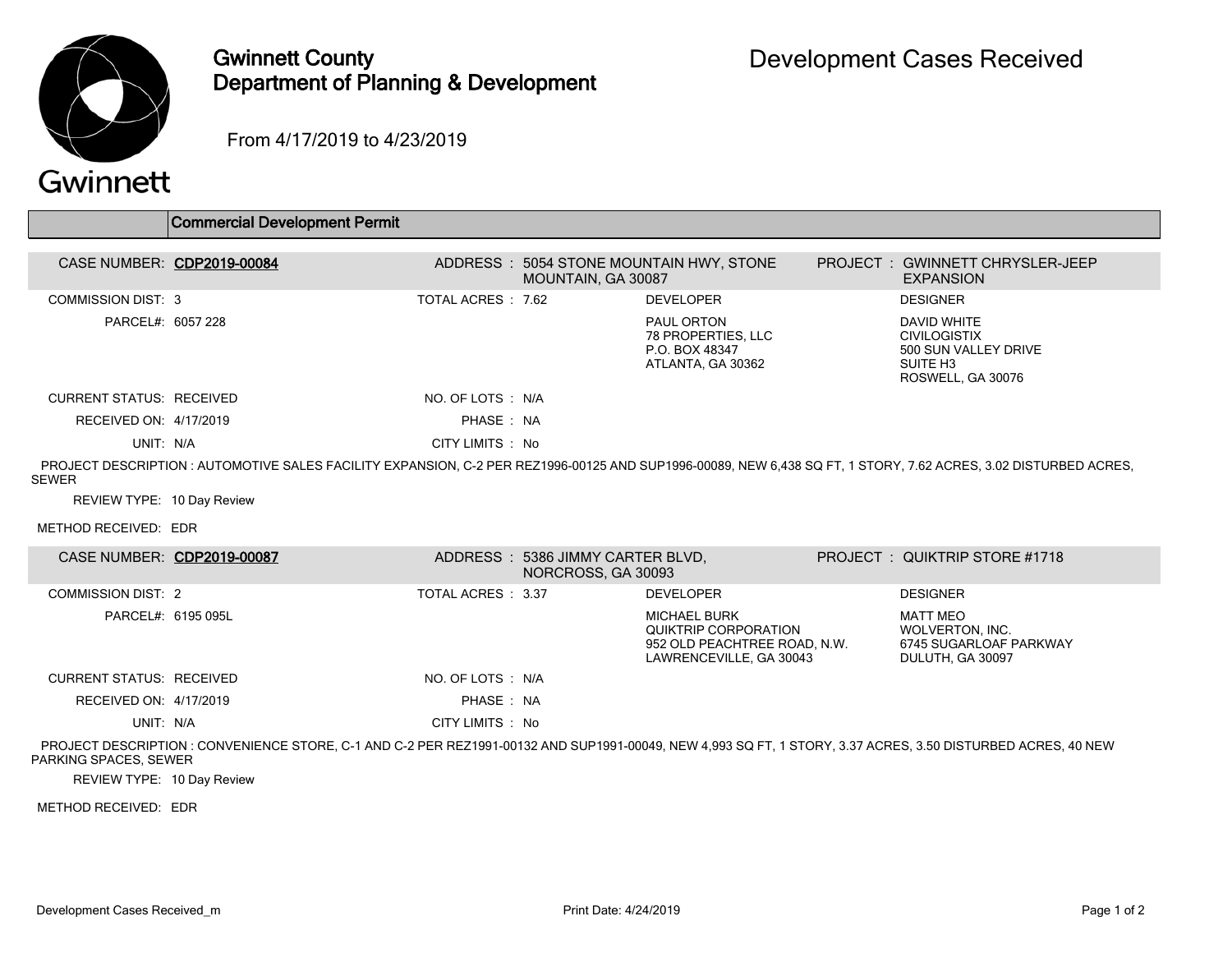

## Gwinnett County Department of Planning & Development

From 4/17/2019 to 4/23/2019

## Gwinnett

|                                                                                                                                                                                | <b>Commercial Development Permit</b>                                                                                                                        |                    |                                                        |                                                                                                        |  |                                                                                                                |  |
|--------------------------------------------------------------------------------------------------------------------------------------------------------------------------------|-------------------------------------------------------------------------------------------------------------------------------------------------------------|--------------------|--------------------------------------------------------|--------------------------------------------------------------------------------------------------------|--|----------------------------------------------------------------------------------------------------------------|--|
|                                                                                                                                                                                | CASE NUMBER: CDP2019-00084                                                                                                                                  |                    |                                                        | ADDRESS : 5054 STONE MOUNTAIN HWY, STONE                                                               |  | PROJECT: GWINNETT CHRYSLER-JEEP                                                                                |  |
|                                                                                                                                                                                |                                                                                                                                                             |                    | MOUNTAIN, GA 30087                                     |                                                                                                        |  | <b>EXPANSION</b>                                                                                               |  |
| <b>COMMISSION DIST: 3</b>                                                                                                                                                      |                                                                                                                                                             | TOTAL ACRES: 7.62  |                                                        | <b>DEVELOPER</b>                                                                                       |  | <b>DESIGNER</b>                                                                                                |  |
| PARCEL#: 6057 228                                                                                                                                                              |                                                                                                                                                             |                    |                                                        | PAUL ORTON<br>78 PROPERTIES, LLC<br>P.O. BOX 48347<br>ATLANTA, GA 30362                                |  | <b>DAVID WHITE</b><br><b>CIVILOGISTIX</b><br>500 SUN VALLEY DRIVE<br>SUITE H <sub>3</sub><br>ROSWELL, GA 30076 |  |
| <b>CURRENT STATUS: RECEIVED</b>                                                                                                                                                |                                                                                                                                                             | NO. OF LOTS : N/A  |                                                        |                                                                                                        |  |                                                                                                                |  |
| RECEIVED ON: 4/17/2019                                                                                                                                                         |                                                                                                                                                             | PHASE: NA          |                                                        |                                                                                                        |  |                                                                                                                |  |
| UNIT: N/A                                                                                                                                                                      |                                                                                                                                                             | CITY LIMITS : No   |                                                        |                                                                                                        |  |                                                                                                                |  |
| PROJECT DESCRIPTION: AUTOMOTIVE SALES FACILITY EXPANSION, C-2 PER REZ1996-00125 AND SUP1996-00089, NEW 6.438 SQ FT, 1 STORY, 7.62 ACRES, 3.02 DISTURBED ACRES,<br><b>SEWER</b> |                                                                                                                                                             |                    |                                                        |                                                                                                        |  |                                                                                                                |  |
| REVIEW TYPE: 10 Day Review                                                                                                                                                     |                                                                                                                                                             |                    |                                                        |                                                                                                        |  |                                                                                                                |  |
| METHOD RECEIVED: EDR                                                                                                                                                           |                                                                                                                                                             |                    |                                                        |                                                                                                        |  |                                                                                                                |  |
|                                                                                                                                                                                | CASE NUMBER: CDP2019-00087                                                                                                                                  |                    | ADDRESS: 5386 JIMMY CARTER BLVD,<br>NORCROSS, GA 30093 |                                                                                                        |  | PROJECT: QUIKTRIP STORE #1718                                                                                  |  |
| <b>COMMISSION DIST: 2</b>                                                                                                                                                      |                                                                                                                                                             | TOTAL ACRES : 3.37 |                                                        | <b>DEVELOPER</b>                                                                                       |  | <b>DESIGNER</b>                                                                                                |  |
|                                                                                                                                                                                | PARCEL#: 6195 095L                                                                                                                                          |                    |                                                        | <b>MICHAEL BURK</b><br>QUIKTRIP CORPORATION<br>952 OLD PEACHTREE ROAD, N.W.<br>LAWRENCEVILLE, GA 30043 |  | <b>MATT MEO</b><br><b>WOLVERTON, INC.</b><br>6745 SUGARLOAF PARKWAY<br>DULUTH, GA 30097                        |  |
| <b>CURRENT STATUS: RECEIVED</b>                                                                                                                                                |                                                                                                                                                             | NO. OF LOTS : N/A  |                                                        |                                                                                                        |  |                                                                                                                |  |
| RECEIVED ON: 4/17/2019                                                                                                                                                         |                                                                                                                                                             | PHASE: NA          |                                                        |                                                                                                        |  |                                                                                                                |  |
| UNIT: N/A                                                                                                                                                                      |                                                                                                                                                             | CITY LIMITS : No   |                                                        |                                                                                                        |  |                                                                                                                |  |
| PARKING SPACES, SEWER                                                                                                                                                          | PROJECT DESCRIPTION: CONVENIENCE STORE, C-1 AND C-2 PER REZ1991-00132 AND SUP1991-00049, NEW 4,993 SQ FT, 1 STORY, 3.37 ACRES, 3.50 DISTURBED ACRES, 40 NEW |                    |                                                        |                                                                                                        |  |                                                                                                                |  |

REVIEW TYPE: 10 Day Review

METHOD RECEIVED: EDR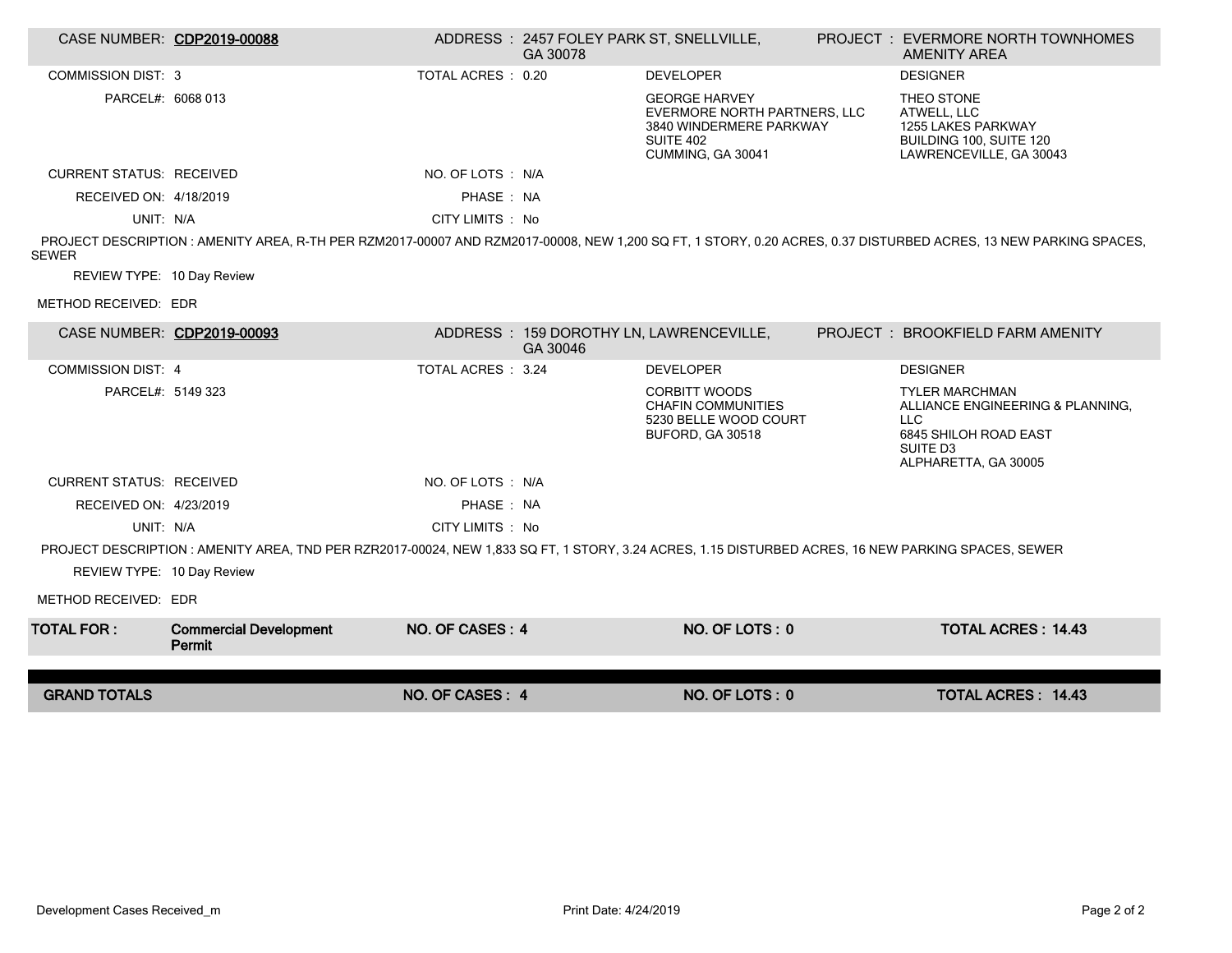|                                                                                                                                                    | CASE NUMBER: CDP2019-00088              |                    | ADDRESS: 2457 FOLEY PARK ST, SNELLVILLE,<br>GA 30078 |                                                                                                                          |  | <b>PROJECT : EVERMORE NORTH TOWNHOMES</b><br><b>AMENITY AREA</b>                                                                                                |  |  |
|----------------------------------------------------------------------------------------------------------------------------------------------------|-----------------------------------------|--------------------|------------------------------------------------------|--------------------------------------------------------------------------------------------------------------------------|--|-----------------------------------------------------------------------------------------------------------------------------------------------------------------|--|--|
| <b>COMMISSION DIST: 3</b>                                                                                                                          |                                         | TOTAL ACRES : 0.20 |                                                      | <b>DEVELOPER</b>                                                                                                         |  | <b>DESIGNER</b>                                                                                                                                                 |  |  |
| PARCEL#: 6068 013                                                                                                                                  |                                         |                    |                                                      | <b>GEORGE HARVEY</b><br>EVERMORE NORTH PARTNERS, LLC<br>3840 WINDERMERE PARKWAY<br><b>SUITE 402</b><br>CUMMING, GA 30041 |  | THEO STONE<br>ATWELL, LLC<br>1255 LAKES PARKWAY<br>BUILDING 100, SUITE 120<br>LAWRENCEVILLE, GA 30043                                                           |  |  |
| <b>CURRENT STATUS: RECEIVED</b>                                                                                                                    |                                         | NO. OF LOTS : N/A  |                                                      |                                                                                                                          |  |                                                                                                                                                                 |  |  |
| RECEIVED ON: 4/18/2019                                                                                                                             |                                         | PHASE: NA          |                                                      |                                                                                                                          |  |                                                                                                                                                                 |  |  |
| UNIT: N/A                                                                                                                                          |                                         | CITY LIMITS : No   |                                                      |                                                                                                                          |  |                                                                                                                                                                 |  |  |
| <b>SEWER</b>                                                                                                                                       |                                         |                    |                                                      |                                                                                                                          |  | PROJECT DESCRIPTION: AMENITY AREA, R-TH PER RZM2017-00007 AND RZM2017-00008, NEW 1.200 SQ FT, 1 STORY, 0.20 ACRES, 0.37 DISTURBED ACRES, 13 NEW PARKING SPACES, |  |  |
| REVIEW TYPE: 10 Day Review                                                                                                                         |                                         |                    |                                                      |                                                                                                                          |  |                                                                                                                                                                 |  |  |
| METHOD RECEIVED: EDR                                                                                                                               |                                         |                    |                                                      |                                                                                                                          |  |                                                                                                                                                                 |  |  |
|                                                                                                                                                    | CASE NUMBER: CDP2019-00093              |                    | GA 30046                                             | ADDRESS: 159 DOROTHY LN, LAWRENCEVILLE,                                                                                  |  | PROJECT: BROOKFIELD FARM AMENITY                                                                                                                                |  |  |
| <b>COMMISSION DIST: 4</b>                                                                                                                          |                                         | TOTAL ACRES : 3.24 |                                                      | <b>DEVELOPER</b>                                                                                                         |  | <b>DESIGNER</b>                                                                                                                                                 |  |  |
| PARCEL#: 5149 323                                                                                                                                  |                                         |                    |                                                      | <b>CORBITT WOODS</b><br><b>CHAFIN COMMUNITIES</b><br>5230 BELLE WOOD COURT<br>BUFORD, GA 30518                           |  | <b>TYLER MARCHMAN</b><br>ALLIANCE ENGINEERING & PLANNING.<br>LLC.<br>6845 SHILOH ROAD EAST<br>SUITE D3<br>ALPHARETTA, GA 30005                                  |  |  |
| <b>CURRENT STATUS: RECEIVED</b>                                                                                                                    |                                         | NO. OF LOTS: N/A   |                                                      |                                                                                                                          |  |                                                                                                                                                                 |  |  |
| RECEIVED ON: 4/23/2019                                                                                                                             |                                         | PHASE: NA          |                                                      |                                                                                                                          |  |                                                                                                                                                                 |  |  |
| UNIT: N/A                                                                                                                                          |                                         | CITY LIMITS : No   |                                                      |                                                                                                                          |  |                                                                                                                                                                 |  |  |
| PROJECT DESCRIPTION: AMENITY AREA, TND PER RZR2017-00024, NEW 1,833 SQ FT, 1 STORY, 3.24 ACRES, 1.15 DISTURBED ACRES, 16 NEW PARKING SPACES, SEWER |                                         |                    |                                                      |                                                                                                                          |  |                                                                                                                                                                 |  |  |
| REVIEW TYPE: 10 Day Review                                                                                                                         |                                         |                    |                                                      |                                                                                                                          |  |                                                                                                                                                                 |  |  |
| METHOD RECEIVED: EDR                                                                                                                               |                                         |                    |                                                      |                                                                                                                          |  |                                                                                                                                                                 |  |  |
| <b>TOTAL FOR:</b>                                                                                                                                  | <b>Commercial Development</b><br>Permit | NO. OF CASES: 4    |                                                      | NO. OF LOTS: 0                                                                                                           |  | <b>TOTAL ACRES: 14.43</b>                                                                                                                                       |  |  |
|                                                                                                                                                    |                                         |                    |                                                      |                                                                                                                          |  |                                                                                                                                                                 |  |  |
| <b>GRAND TOTALS</b>                                                                                                                                |                                         | NO. OF CASES: 4    |                                                      | NO. OF LOTS: 0                                                                                                           |  | <b>TOTAL ACRES: 14.43</b>                                                                                                                                       |  |  |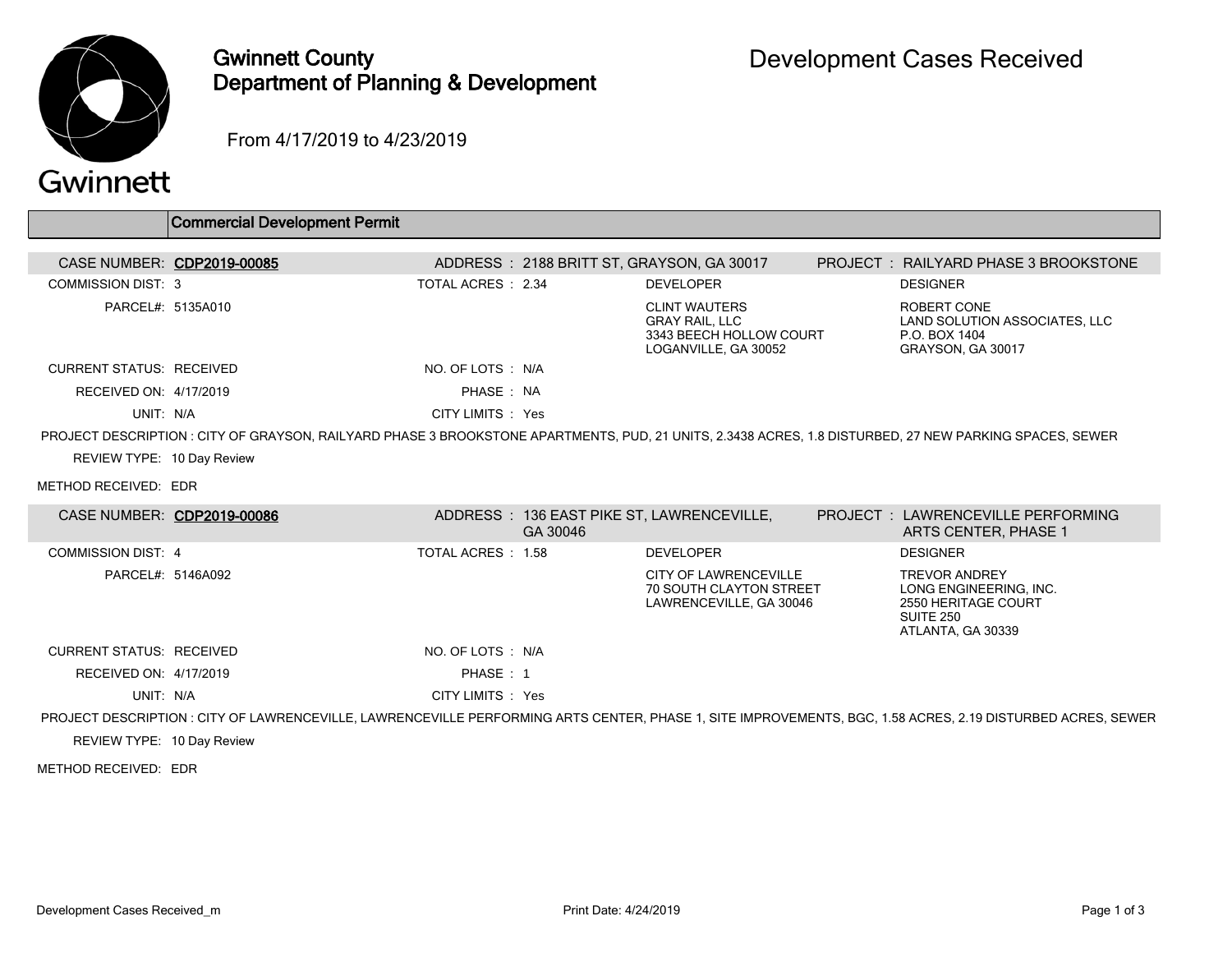

## Gwinnett County Department of Planning & Development

From 4/17/2019 to 4/23/2019

|                                 | <b>Commercial Development Permit</b>                                                                                                                   |                    |          |                                                                                                  |                                                                                                                                                             |
|---------------------------------|--------------------------------------------------------------------------------------------------------------------------------------------------------|--------------------|----------|--------------------------------------------------------------------------------------------------|-------------------------------------------------------------------------------------------------------------------------------------------------------------|
|                                 | CASE NUMBER: CDP2019-00085                                                                                                                             |                    |          | ADDRESS: 2188 BRITT ST, GRAYSON, GA 30017                                                        | PROJECT : RAILYARD PHASE 3 BROOKSTONE                                                                                                                       |
| <b>COMMISSION DIST: 3</b>       |                                                                                                                                                        | TOTAL ACRES: 2.34  |          | <b>DEVELOPER</b>                                                                                 | <b>DESIGNER</b>                                                                                                                                             |
| PARCEL#: 5135A010               |                                                                                                                                                        |                    |          | <b>CLINT WAUTERS</b><br><b>GRAY RAIL, LLC</b><br>3343 BEECH HOLLOW COURT<br>LOGANVILLE, GA 30052 | ROBERT CONE<br>LAND SOLUTION ASSOCIATES, LLC<br>P.O. BOX 1404<br>GRAYSON, GA 30017                                                                          |
| <b>CURRENT STATUS: RECEIVED</b> |                                                                                                                                                        | NO. OF LOTS : N/A  |          |                                                                                                  |                                                                                                                                                             |
| RECEIVED ON: 4/17/2019          |                                                                                                                                                        | PHASE: NA          |          |                                                                                                  |                                                                                                                                                             |
| UNIT: N/A                       |                                                                                                                                                        | CITY LIMITS : Yes  |          |                                                                                                  |                                                                                                                                                             |
|                                 | PROJECT DESCRIPTION: CITY OF GRAYSON, RAILYARD PHASE 3 BROOKSTONE APARTMENTS, PUD, 21 UNITS, 2.3438 ACRES, 1.8 DISTURBED, 27 NEW PARKING SPACES, SEWER |                    |          |                                                                                                  |                                                                                                                                                             |
| REVIEW TYPE: 10 Day Review      |                                                                                                                                                        |                    |          |                                                                                                  |                                                                                                                                                             |
| METHOD RECEIVED: EDR            |                                                                                                                                                        |                    |          |                                                                                                  |                                                                                                                                                             |
|                                 | CASE NUMBER: CDP2019-00086                                                                                                                             |                    | GA 30046 | ADDRESS: 136 EAST PIKE ST, LAWRENCEVILLE,                                                        | <b>PROJECT : LAWRENCEVILLE PERFORMING</b><br>ARTS CENTER, PHASE 1                                                                                           |
| <b>COMMISSION DIST: 4</b>       |                                                                                                                                                        | TOTAL ACRES : 1.58 |          | <b>DEVELOPER</b>                                                                                 | <b>DESIGNER</b>                                                                                                                                             |
| PARCEL#: 5146A092               |                                                                                                                                                        |                    |          | <b>CITY OF LAWRENCEVILLE</b><br>70 SOUTH CLAYTON STREET<br>LAWRENCEVILLE, GA 30046               | <b>TREVOR ANDREY</b><br>LONG ENGINEERING, INC.<br>2550 HERITAGE COURT<br><b>SUITE 250</b><br>ATLANTA, GA 30339                                              |
| <b>CURRENT STATUS: RECEIVED</b> |                                                                                                                                                        | NO. OF LOTS : N/A  |          |                                                                                                  |                                                                                                                                                             |
| RECEIVED ON: 4/17/2019          |                                                                                                                                                        | PHASE: 1           |          |                                                                                                  |                                                                                                                                                             |
| UNIT: N/A                       |                                                                                                                                                        | CITY LIMITS : Yes  |          |                                                                                                  |                                                                                                                                                             |
|                                 |                                                                                                                                                        |                    |          |                                                                                                  | PROJECT DESCRIPTION : CITY OF LAWRENCEVILLE, LAWRENCEVILLE PERFORMING ARTS CENTER, PHASE 1, SITE IMPROVEMENTS, BGC, 1.58 ACRES, 2.19 DISTURBED ACRES, SEWER |
| REVIEW TYPE: 10 Day Review      |                                                                                                                                                        |                    |          |                                                                                                  |                                                                                                                                                             |
| METHOD RECEIVED: EDR            |                                                                                                                                                        |                    |          |                                                                                                  |                                                                                                                                                             |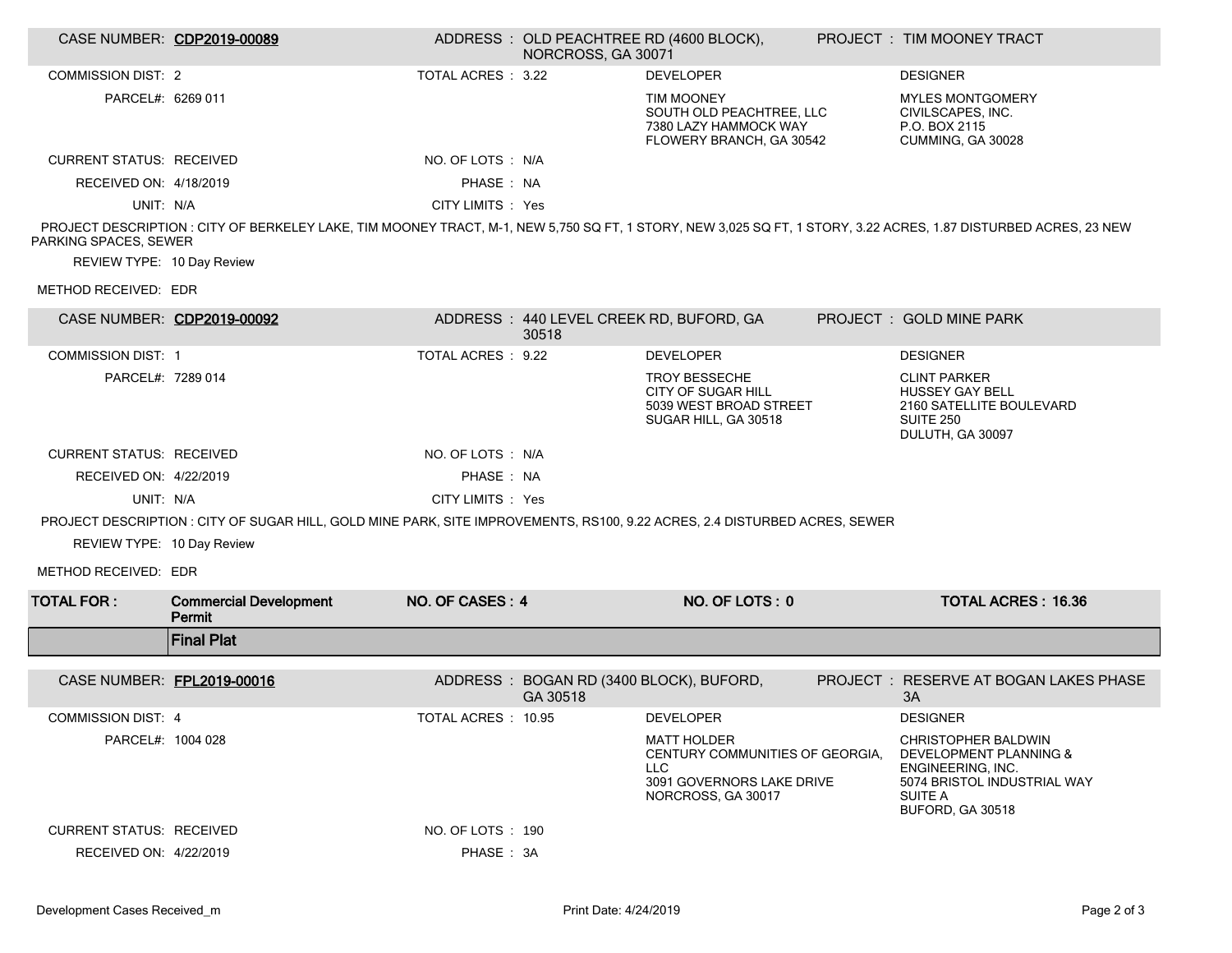|                                                                                                                                                                                          | CASE NUMBER: CDP2019-00089                                                                                                 |                    | NORCROSS, GA 30071 | ADDRESS : OLD PEACHTREE RD (4600 BLOCK),                                                                               |  | PROJECT : TIM MOONEY TRACT                                                                                                              |  |  |
|------------------------------------------------------------------------------------------------------------------------------------------------------------------------------------------|----------------------------------------------------------------------------------------------------------------------------|--------------------|--------------------|------------------------------------------------------------------------------------------------------------------------|--|-----------------------------------------------------------------------------------------------------------------------------------------|--|--|
| <b>COMMISSION DIST: 2</b>                                                                                                                                                                |                                                                                                                            | TOTAL ACRES : 3.22 |                    | <b>DEVELOPER</b>                                                                                                       |  | <b>DESIGNER</b>                                                                                                                         |  |  |
| PARCEL#: 6269 011                                                                                                                                                                        |                                                                                                                            |                    |                    | <b>TIM MOONEY</b><br>SOUTH OLD PEACHTREE, LLC<br>7380 LAZY HAMMOCK WAY<br>FLOWERY BRANCH, GA 30542                     |  | <b>MYLES MONTGOMERY</b><br>CIVILSCAPES, INC.<br>P.O. BOX 2115<br>CUMMING, GA 30028                                                      |  |  |
| <b>CURRENT STATUS: RECEIVED</b>                                                                                                                                                          |                                                                                                                            | NO. OF LOTS : N/A  |                    |                                                                                                                        |  |                                                                                                                                         |  |  |
| RECEIVED ON: 4/18/2019                                                                                                                                                                   |                                                                                                                            | PHASE: NA          |                    |                                                                                                                        |  |                                                                                                                                         |  |  |
| UNIT: N/A                                                                                                                                                                                |                                                                                                                            | CITY LIMITS : Yes  |                    |                                                                                                                        |  |                                                                                                                                         |  |  |
| PROJECT DESCRIPTION: CITY OF BERKELEY LAKE, TIM MOONEY TRACT, M-1, NEW 5,750 SQ FT, 1 STORY, NEW 3,025 SQ FT, 1 STORY, 3.22 ACRES, 1.87 DISTURBED ACRES, 23 NEW<br>PARKING SPACES, SEWER |                                                                                                                            |                    |                    |                                                                                                                        |  |                                                                                                                                         |  |  |
| REVIEW TYPE: 10 Day Review                                                                                                                                                               |                                                                                                                            |                    |                    |                                                                                                                        |  |                                                                                                                                         |  |  |
| METHOD RECEIVED: EDR                                                                                                                                                                     |                                                                                                                            |                    |                    |                                                                                                                        |  |                                                                                                                                         |  |  |
|                                                                                                                                                                                          | CASE NUMBER: CDP2019-00092                                                                                                 |                    | 30518              | ADDRESS: 440 LEVEL CREEK RD, BUFORD, GA                                                                                |  | PROJECT: GOLD MINE PARK                                                                                                                 |  |  |
| <b>COMMISSION DIST: 1</b>                                                                                                                                                                |                                                                                                                            | TOTAL ACRES : 9.22 |                    | <b>DEVELOPER</b>                                                                                                       |  | <b>DESIGNER</b>                                                                                                                         |  |  |
| PARCEL#: 7289 014                                                                                                                                                                        |                                                                                                                            |                    |                    | <b>TROY BESSECHE</b><br>CITY OF SUGAR HILL<br>5039 WEST BROAD STREET<br>SUGAR HILL, GA 30518                           |  | <b>CLINT PARKER</b><br><b>HUSSEY GAY BELL</b><br>2160 SATELLITE BOULEVARD<br><b>SUITE 250</b><br>DULUTH, GA 30097                       |  |  |
| <b>CURRENT STATUS: RECEIVED</b>                                                                                                                                                          |                                                                                                                            | NO. OF LOTS : N/A  |                    |                                                                                                                        |  |                                                                                                                                         |  |  |
| RECEIVED ON: 4/22/2019                                                                                                                                                                   |                                                                                                                            | PHASE: NA          |                    |                                                                                                                        |  |                                                                                                                                         |  |  |
| UNIT: N/A                                                                                                                                                                                |                                                                                                                            | CITY LIMITS : Yes  |                    |                                                                                                                        |  |                                                                                                                                         |  |  |
|                                                                                                                                                                                          | PROJECT DESCRIPTION : CITY OF SUGAR HILL, GOLD MINE PARK, SITE IMPROVEMENTS, RS100, 9.22 ACRES, 2.4 DISTURBED ACRES, SEWER |                    |                    |                                                                                                                        |  |                                                                                                                                         |  |  |
| REVIEW TYPE: 10 Day Review                                                                                                                                                               |                                                                                                                            |                    |                    |                                                                                                                        |  |                                                                                                                                         |  |  |
| METHOD RECEIVED: EDR                                                                                                                                                                     |                                                                                                                            |                    |                    |                                                                                                                        |  |                                                                                                                                         |  |  |
| <b>TOTAL FOR:</b>                                                                                                                                                                        | <b>Commercial Development</b><br>Permit                                                                                    | NO. OF CASES: 4    |                    | NO. OF LOTS: 0                                                                                                         |  | <b>TOTAL ACRES: 16.36</b>                                                                                                               |  |  |
|                                                                                                                                                                                          | <b>Final Plat</b>                                                                                                          |                    |                    |                                                                                                                        |  |                                                                                                                                         |  |  |
| CASE NUMBER: FPL2019-00016                                                                                                                                                               |                                                                                                                            |                    | GA 30518           | ADDRESS: BOGAN RD (3400 BLOCK), BUFORD,                                                                                |  | PROJECT: RESERVE AT BOGAN LAKES PHASE<br>3A                                                                                             |  |  |
| <b>COMMISSION DIST: 4</b>                                                                                                                                                                |                                                                                                                            | TOTAL ACRES: 10.95 |                    | <b>DEVELOPER</b>                                                                                                       |  | <b>DESIGNER</b>                                                                                                                         |  |  |
| PARCEL#: 1004 028                                                                                                                                                                        |                                                                                                                            |                    |                    | <b>MATT HOLDER</b><br>CENTURY COMMUNITIES OF GEORGIA.<br><b>LLC</b><br>3091 GOVERNORS LAKE DRIVE<br>NORCROSS, GA 30017 |  | <b>CHRISTOPHER BALDWIN</b><br>DEVELOPMENT PLANNING &<br>ENGINEERING, INC.<br>5074 BRISTOL INDUSTRIAL WAY<br>SUITE A<br>BUFORD, GA 30518 |  |  |
| <b>CURRENT STATUS: RECEIVED</b>                                                                                                                                                          |                                                                                                                            | NO. OF LOTS : 190  |                    |                                                                                                                        |  |                                                                                                                                         |  |  |
| RECEIVED ON: 4/22/2019                                                                                                                                                                   |                                                                                                                            | PHASE: 3A          |                    |                                                                                                                        |  |                                                                                                                                         |  |  |